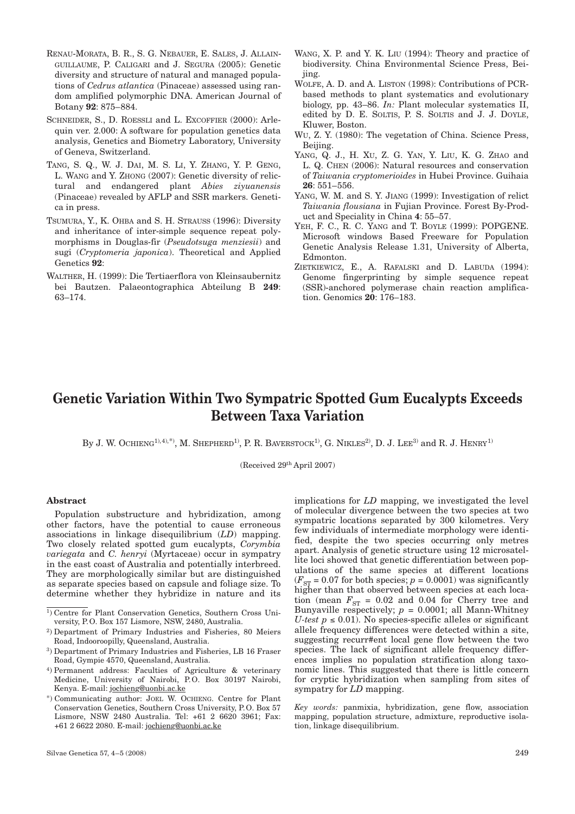- RENAU-MORATA, B. R., S. G. NEBAUER, E. SALES, J. ALLAIN-GUILLAUME, P. CALIGARI and J. SEGURA (2005): Genetic diversity and structure of natural and managed populations of *Cedrus atlantica* (Pinaceae) assessed using random amplified polymorphic DNA. American Journal of Botany **92**: 875–884.
- SCHNEIDER, S., D. ROESSLI and L. EXCOFFIER (2000): Arlequin ver. 2.000: A software for population genetics data analysis, Genetics and Biometry Laboratory, University of Geneva, Switzerland.
- TANG, S. Q., W. J. DAI, M. S. LI, Y. ZHANG, Y. P. GENG, L. WANG and Y. ZHONG (2007): Genetic diversity of relictural and endangered plant *Abies ziyuanensis* (Pinaceae) revealed by AFLP and SSR markers. Genetica in press.
- TSUMURA, Y., K. OHBA and S. H. STRAUSS (1996): Diversity and inheritance of inter-simple sequence repeat polymorphisms in Douglas-fir (*Pseudotsuga menziesii*) and sugi (*Cryptomeria japonica*). Theoretical and Applied Genetics **92**:
- WALTHER, H. (1999): Die Tertiaerflora von Kleinsaubernitz bei Bautzen. Palaeontographica Abteilung B **249**: 63–174.
- WANG, X. P. and Y. K. LIU (1994): Theory and practice of biodiversity. China Environmental Science Press, Beijing.
- WOLFE, A. D. and A. LISTON (1998): Contributions of PCRbased methods to plant systematics and evolutionary biology, pp. 43–86. *In:* Plant molecular systematics II, edited by D. E. SOLTIS, P. S. SOLTIS and J. J. DOYLE, Kluwer, Boston.
- WU, Z. Y. (1980): The vegetation of China. Science Press, Beijing.
- YANG, Q. J., H. XU, Z. G. YAN, Y. LIU, K. G. ZHAO and L. Q. CHEN (2006): Natural resources and conservation of *Taiwania cryptomerioides* in Hubei Province. Guihaia **26**: 551–556.
- YANG, W. M. and S. Y. JIANG (1999): Investigation of relict *Taiwania flousiana* in Fujian Province. Forest By-Product and Speciality in China **4**: 55–57.
- YEH, F. C., R. C. YANG and T. BOYLE (1999): POPGENE. Microsoft windows Based Freeware for Population Genetic Analysis Release 1.31, University of Alberta, Edmonton.
- ZIETKIEWICZ, E., A. RAFALSKI and D. LABUDA (1994): Genome fingerprinting by simple sequence repeat (SSR)-anchored polymerase chain reaction amplification. Genomics **20**: 176–183.

# **Genetic Variation Within Two Sympatric Spotted Gum Eucalypts Exceeds Between Taxa Variation**

By J. W. OCHIENG<sup>1), 4), \*)</sup>, M. SHEPHERD<sup>1)</sup>, P. R. BAVERSTOCK<sup>1)</sup>, G. NIKLES<sup>2)</sup>, D. J. LEE<sup>3)</sup> and R. J. HENRY<sup>1)</sup>

(Received 29th April 2007)

#### **Abstract**

Population substructure and hybridization, among other factors, have the potential to cause erroneous associations in linkage disequilibrium (*LD*) mapping. Two closely related spotted gum eucalypts, *Corymbia variegata* and *C. henryi* (Myrtaceae) occur in sympatry in the east coast of Australia and potentially interbreed. They are morphologically similar but are distinguished as separate species based on capsule and foliage size. To determine whether they hybridize in nature and its

- <sup>1</sup>) Centre for Plant Conservation Genetics, Southern Cross University, P.O. Box 157 Lismore, NSW, 2480, Australia.
- 2) Department of Primary Industries and Fisheries, 80 Meiers Road, Indooroopilly, Queensland, Australia.
- 3) Department of Primary Industries and Fisheries, LB 16 Fraser Road, Gympie 4570, Queensland, Australia.
- 4) Permanent address: Faculties of Agriculture & veterinary Medicine, University of Nairobi, P.O. Box 30197 Nairobi, Kenya. E-mail: jochieng@uonbi.ac.ke
- \*) Communicating author: JOEL W. OCHIENG. Centre for Plant Conservation Genetics, Southern Cross University, P.O. Box 57 Lismore, NSW 2480 Australia. Tel: +61 2 6620 3961; Fax: +61 2 6622 2080. E-mail: jochieng@uonbi.ac.ke

implications for *LD* mapping, we investigated the level of molecular divergence between the two species at two sympatric locations separated by 300 kilometres. Very few individuals of intermediate morphology were identified, despite the two species occurring only metres apart. Analysis of genetic structure using 12 microsatellite loci showed that genetic differentiation between populations of the same species at different locations  $(F_{ST} = 0.07$  for both species;  $p = 0.0001$ ) was significantly higher than that observed between species at each location (mean  $F_{ST}$  = 0.02 and 0.04 for Cherry tree and Bunyaville respectively;  $p = 0.0001$ ; all Mann-Whitney *U-test p*  $\leq$  0.01). No species-specific alleles or significant allele frequency differences were detected within a site, suggesting recurr#ent local gene flow between the two species. The lack of significant allele frequency differences implies no population stratification along taxonomic lines. This suggested that there is little concern for cryptic hybridization when sampling from sites of sympatry for *LD* mapping.

*Key words:* panmixia, hybridization, gene flow, association mapping, population structure, admixture, reproductive isolation, linkage disequilibrium.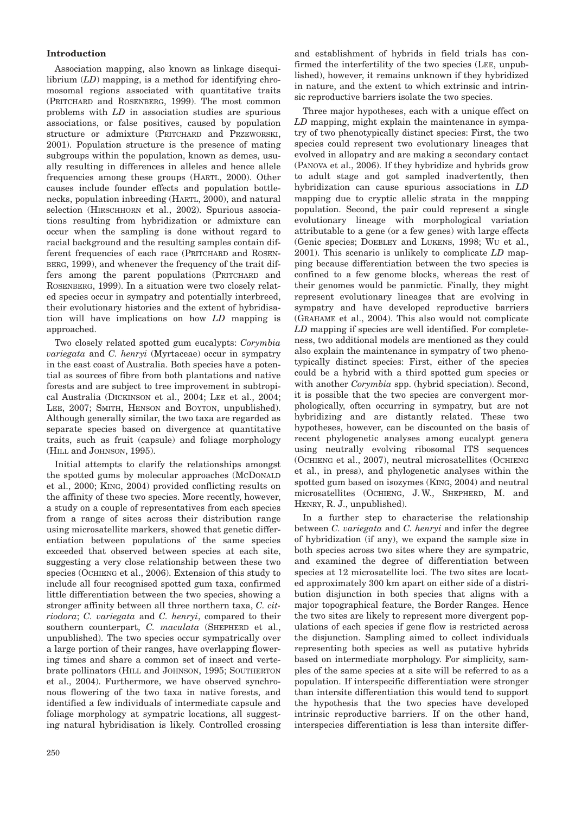# **Introduction**

Association mapping, also known as linkage disequilibrium (*LD*) mapping, is a method for identifying chromosomal regions associated with quantitative traits (PRITCHARD and ROSENBERG, 1999). The most common problems with *LD* in association studies are spurious associations, or false positives, caused by population structure or admixture (PRITCHARD and PRZEWORSKI, 2001). Population structure is the presence of mating subgroups within the population, known as demes, usually resulting in differences in alleles and hence allele frequencies among these groups (HARTL, 2000). Other causes include founder effects and population bottlenecks, population inbreeding (HARTL, 2000), and natural selection (HIRSCHHORN et al., 2002). Spurious associations resulting from hybridization or admixture can occur when the sampling is done without regard to racial background and the resulting samples contain different frequencies of each race (PRITCHARD and ROSEN-BERG, 1999), and whenever the frequency of the trait differs among the parent populations (PRITCHARD and ROSENBERG, 1999). In a situation were two closely related species occur in sympatry and potentially interbreed, their evolutionary histories and the extent of hybridisation will have implications on how *LD* mapping is approached.

Two closely related spotted gum eucalypts: *Corymbia variegata* and *C. henryi* (Myrtaceae) occur in sympatry in the east coast of Australia. Both species have a potential as sources of fibre from both plantations and native forests and are subject to tree improvement in subtropical Australia (DICKINSON et al., 2004; LEE et al., 2004; LEE, 2007; SMITH, HENSON and BOYTON, unpublished). Although generally similar, the two taxa are regarded as separate species based on divergence at quantitative traits, such as fruit (capsule) and foliage morphology (HILL and JOHNSON, 1995).

Initial attempts to clarify the relationships amongst the spotted gums by molecular approaches (MCDONALD et al., 2000; KING, 2004) provided conflicting results on the affinity of these two species. More recently, however, a study on a couple of representatives from each species from a range of sites across their distribution range using microsatellite markers, showed that genetic differentiation between populations of the same species exceeded that observed between species at each site, suggesting a very close relationship between these two species (OCHIENG et al., 2006). Extension of this study to include all four recognised spotted gum taxa, confirmed little differentiation between the two species, showing a stronger affinity between all three northern taxa, *C. citriodora*; *C. variegata* and *C. henryi*, compared to their southern counterpart, *C. maculata* (SHEPHERD et al., unpublished). The two species occur sympatrically over a large portion of their ranges, have overlapping flowering times and share a common set of insect and vertebrate pollinators (HILL and JOHNSON, 1995; SOUTHERTON et al., 2004). Furthermore, we have observed synchronous flowering of the two taxa in native forests, and identified a few individuals of intermediate capsule and foliage morphology at sympatric locations, all suggesting natural hybridisation is likely. Controlled crossing

and establishment of hybrids in field trials has confirmed the interfertility of the two species (LEE, unpublished), however, it remains unknown if they hybridized in nature, and the extent to which extrinsic and intrinsic reproductive barriers isolate the two species.

Three major hypotheses, each with a unique effect on *LD* mapping, might explain the maintenance in sympatry of two phenotypically distinct species: First, the two species could represent two evolutionary lineages that evolved in allopatry and are making a secondary contact (PANOVA et al., 2006). If they hybridize and hybrids grow to adult stage and got sampled inadvertently, then hybridization can cause spurious associations in *LD* mapping due to cryptic allelic strata in the mapping population. Second, the pair could represent a single evolutionary lineage with morphological variation attributable to a gene (or a few genes) with large effects (Genic species; DOEBLEY and LUKENS, 1998; WU et al., 2001). This scenario is unlikely to complicate *LD* mapping because differentiation between the two species is confined to a few genome blocks, whereas the rest of their genomes would be panmictic. Finally, they might represent evolutionary lineages that are evolving in sympatry and have developed reproductive barriers (GRAHAME et al., 2004). This also would not complicate *LD* mapping if species are well identified. For completeness, two additional models are mentioned as they could also explain the maintenance in sympatry of two phenotypically distinct species: First, either of the species could be a hybrid with a third spotted gum species or with another *Corymbia* spp. (hybrid speciation). Second, it is possible that the two species are convergent morphologically, often occurring in sympatry, but are not hybridizing and are distantly related. These two hypotheses, however, can be discounted on the basis of recent phylogenetic analyses among eucalypt genera using neutrally evolving ribosomal ITS sequences (OCHIENG et al., 2007), neutral microsatellites (OCHIENG et al., in press), and phylogenetic analyses within the spotted gum based on isozymes (KING, 2004) and neutral microsatellites (OCHIENG, J. W., SHEPHERD, M. and HENRY, R. J., unpublished).

In a further step to characterise the relationship between *C. variegata* and *C. henryi* and infer the degree of hybridization (if any), we expand the sample size in both species across two sites where they are sympatric, and examined the degree of differentiation between species at 12 microsatellite loci. The two sites are located approximately 300 km apart on either side of a distribution disjunction in both species that aligns with a major topographical feature, the Border Ranges. Hence the two sites are likely to represent more divergent populations of each species if gene flow is restricted across the disjunction. Sampling aimed to collect individuals representing both species as well as putative hybrids based on intermediate morphology. For simplicity, samples of the same species at a site will be referred to as a population. If interspecific differentiation were stronger than intersite differentiation this would tend to support the hypothesis that the two species have developed intrinsic reproductive barriers. If on the other hand, interspecies differentiation is less than intersite differ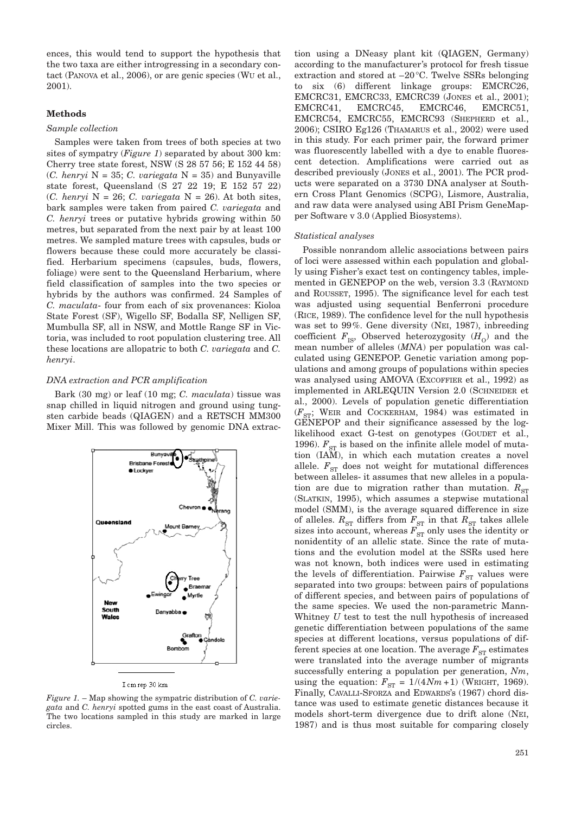ences, this would tend to support the hypothesis that the two taxa are either introgressing in a secondary contact (PANOVA et al., 2006), or are genic species (WU et al., 2001).

### **Methods**

#### *Sample collection*

Samples were taken from trees of both species at two sites of sympatry (*Figure 1*) separated by about 300 km: Cherry tree state forest, NSW (S 28 57 56; E 152 44 58) (*C. henryi* N = 35; *C. variegata* N = 35) and Bunyaville state forest, Queensland (S 27 22 19; E 152 57 22) (*C. henryi* N = 26; *C. variegata* N = 26). At both sites, bark samples were taken from paired *C. variegata* and *C. henryi* trees or putative hybrids growing within 50 metres, but separated from the next pair by at least 100 metres. We sampled mature trees with capsules, buds or flowers because these could more accurately be classified. Herbarium specimens (capsules, buds, flowers, foliage) were sent to the Queensland Herbarium, where field classification of samples into the two species or hybrids by the authors was confirmed. 24 Samples of *C. maculata*- four from each of six provenances: Kioloa State Forest (SF), Wigello SF, Bodalla SF, Nelligen SF, Mumbulla SF, all in NSW, and Mottle Range SF in Victoria, was included to root population clustering tree. All these locations are allopatric to both *C. variegata* and *C. henryi*.

# *DNA extraction and PCR amplification*

Bark (30 mg) or leaf (10 mg; *C. maculata*) tissue was snap chilled in liquid nitrogen and ground using tungsten carbide beads (QIAGEN) and a RETSCH MM300 Mixer Mill. This was followed by genomic DNA extrac-



I cm rep 30 km

*Figure 1.* – Map showing the sympatric distribution of *C. variegata* and *C. henryi* spotted gums in the east coast of Australia. The two locations sampled in this study are marked in large circles.

tion using a DNeasy plant kit (QIAGEN, Germany) according to the manufacturer's protocol for fresh tissue extraction and stored at –20°C. Twelve SSRs belonging to six (6) different linkage groups: EMCRC26, EMCRC31, EMCRC33, EMCRC39 (JONES et al., 2001); EMCRC41, EMCRC45, EMCRC46, EMCRC51, EMCRC54, EMCRC55, EMCRC93 (SHEPHERD et al., 2006); CSIRO Eg126 (THAMARUS et al., 2002) were used in this study. For each primer pair, the forward primer was fluorescently labelled with a dye to enable fluorescent detection. Amplifications were carried out as described previously (JONES et al., 2001). The PCR products were separated on a 3730 DNA analyser at Southern Cross Plant Genomics (SCPG), Lismore, Australia, and raw data were analysed using ABI Prism GeneMapper Software v 3.0 (Applied Biosystems).

#### *Statistical analyses*

Possible nonrandom allelic associations between pairs of loci were assessed within each population and globally using Fisher's exact test on contingency tables, implemented in GENEPOP on the web, version 3.3 (RAYMOND and ROUSSET, 1995). The significance level for each test was adjusted using sequential Benferroni procedure (RICE, 1989). The confidence level for the null hypothesis was set to 99%. Gene diversity (NEI, 1987), inbreeding coefficient  $F_{\text{IS}}$ , Observed heterozygosity  $(H_0)$  and the mean number of alleles (*MNA*) per population was calculated using GENEPOP. Genetic variation among populations and among groups of populations within species was analysed using AMOVA (EXCOFFIER et al., 1992) as implemented in ARLEQUIN Version 2.0 (SCHNEIDER et al., 2000). Levels of population genetic differentiation  $(F_{ST};$  WEIR and COCKERHAM, 1984) was estimated in GENEPOP and their significance assessed by the loglikelihood exact G-test on genotypes (GOUDET et al., 1996).  $F_{ST}$  is based on the infinite allele model of mutation (IAM), in which each mutation creates a novel allele.  $F_{ST}$  does not weight for mutational differences between alleles- it assumes that new alleles in a population are due to migration rather than mutation.  $R_{ST}$ (SLATKIN, 1995), which assumes a stepwise mutational model (SMM), is the average squared difference in size of alleles.  $R_{\textrm{ST}}$  differs from  $F_{\textrm{ST}}$  in that  $R_{\textrm{ST}}$  takes allele sizes into account, whereas  $F_{\text{ST}}$  only uses the identity or nonidentity of an allelic state. Since the rate of mutations and the evolution model at the SSRs used here was not known, both indices were used in estimating the levels of differentiation. Pairwise  $F_{ST}$  values were separated into two groups: between pairs of populations of different species, and between pairs of populations of the same species. We used the non-parametric Mann-Whitney *U* test to test the null hypothesis of increased genetic differentiation between populations of the same species at different locations, versus populations of different species at one location. The average  $F_{ST}$  estimates were translated into the average number of migrants successfully entering a population per generation, *Nm*, using the equation:  $F_{ST} = 1/(4Nm + 1)$  (WRIGHT, 1969). Finally, CAVALLI-SFORZA and EDWARDS's (1967) chord distance was used to estimate genetic distances because it models short-term divergence due to drift alone (NEI, 1987) and is thus most suitable for comparing closely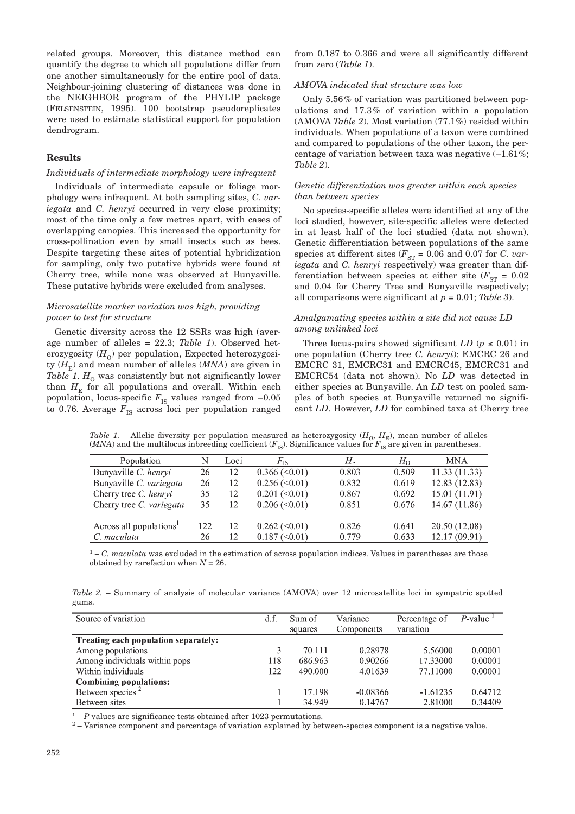related groups. Moreover, this distance method can quantify the degree to which all populations differ from one another simultaneously for the entire pool of data. Neighbour-joining clustering of distances was done in the NEIGHBOR program of the PHYLIP package (FELSENSTEIN, 1995). 100 bootstrap pseudoreplicates were used to estimate statistical support for population dendrogram.

#### **Results**

# *Individuals of intermediate morphology were infrequent*

Individuals of intermediate capsule or foliage morphology were infrequent. At both sampling sites, *C. variegata* and *C. henryi* occurred in very close proximity; most of the time only a few metres apart, with cases of overlapping canopies. This increased the opportunity for cross-pollination even by small insects such as bees. Despite targeting these sites of potential hybridization for sampling, only two putative hybrids were found at Cherry tree, while none was observed at Bunyaville. These putative hybrids were excluded from analyses.

# *Microsatellite marker variation was high, providing power to test for structure*

Genetic diversity across the 12 SSRs was high (average number of alleles = 22.3; *Table 1*). Observed heterozygosity  $(H<sub>o</sub>)$  per population, Expected heterozygosity  $(H_F)$  and mean number of alleles  $(MNA)$  are given in *Table 1.*  $H_0$  was consistently but not significantly lower than  $H_{\rm E}$  for all populations and overall. Within each population, locus-specific  $F_{\text{IS}}$  values ranged from  $-0.05$ to 0.76. Average  $F_{\text{IS}}$  across loci per population ranged

from 0.187 to 0.366 and were all significantly different from zero (*Table 1*).

#### *AMOVA indicated that structure was low*

Only 5.56% of variation was partitioned between populations and 17.3% of variation within a population (AMOVA *Table 2*). Most variation (77.1%) resided within individuals. When populations of a taxon were combined and compared to populations of the other taxon, the percentage of variation between taxa was negative (–1.61%; *Table 2*).

# *Genetic differentiation was greater within each species than between species*

No species-specific alleles were identified at any of the loci studied, however, site-specific alleles were detected in at least half of the loci studied (data not shown). Genetic differentiation between populations of the same species at different sites  $(F_{ST} = 0.06$  and 0.07 for *C. variegata* and *C. henryi* respectively) was greater than differentiation between species at either site  $(F_{ST} = 0.02)$ and 0.04 for Cherry Tree and Bunyaville respectively; all comparisons were significant at *p* = 0.01; *Table 3*).

## *Amalgamating species within a site did not cause LD among unlinked loci*

Three locus-pairs showed significant  $LD$  ( $p \leq 0.01$ ) in one population (Cherry tree *C. henryi*): EMCRC 26 and EMCRC 31, EMCRC31 and EMCRC45, EMCRC31 and EMCRC54 (data not shown). No *LD* was detected in either species at Bunyaville. An *LD* test on pooled samples of both species at Bunyaville returned no significant *LD*. However, *LD* for combined taxa at Cherry tree

*Table 1.* – Allelic diversity per population measured as heterozygosity  $(H_0, H_E)$ , mean number of alleles (*MNA*) and the multilocus inbreeding coefficient  $(F_{IS})$ . Significance values for  $F_{IS}$  are given in parentheses.

| Population                          | N   | Loci | $F_{\rm IS}$           | $H_{\rm E}$ | $H_{\Omega}$ | <b>MNA</b>    |
|-------------------------------------|-----|------|------------------------|-------------|--------------|---------------|
| Bunyaville C. henryi                | 26  | 12   | $0.366 \, (<0.01)$     | 0.803       | 0.509        | 11.33(11.33)  |
| Bunyaville C. variegata             | 26  | 12   | $0.256 \, (\leq 0.01)$ | 0.832       | 0.619        | 12.83 (12.83) |
| Cherry tree C. henryi               | 35  | 12   | $0.201 (\le 0.01)$     | 0.867       | 0.692        | 15.01 (11.91) |
| Cherry tree C. variegata            | 35  | 12   | $0.206 \, (\leq 0.01)$ | 0.851       | 0.676        | 14.67 (11.86) |
|                                     |     |      |                        |             |              |               |
| Across all populations <sup>1</sup> | 122 | 12   | $0.262 \, (\leq 0.01)$ | 0.826       | 0.641        | 20.50 (12.08) |
| C. maculata                         | 26  | 12   | $0.187 \, (\leq 0.01)$ | 0.779       | 0.633        | 12.17 (09.91) |

<sup>1</sup> – *C. maculata* was excluded in the estimation of across population indices. Values in parentheses are those obtained by rarefaction when *N* = 26.

*Table 2.* – Summary of analysis of molecular variance (AMOVA) over 12 microsatellite loci in sympatric spotted gums.

| Source of variation                  | d.f. | Sum of<br>squares | Variance<br>Components | Percentage of<br>variation | $P$ -value |
|--------------------------------------|------|-------------------|------------------------|----------------------------|------------|
| Treating each population separately: |      |                   |                        |                            |            |
| Among populations                    | 3    | 70.111            | 0.28978                | 5.56000                    | 0.00001    |
| Among individuals within pops        | 118  | 686.963           | 0.90266                | 17.33000                   | 0.00001    |
| Within individuals                   | 122  | 490.000           | 4.01639                | 77.11000                   | 0.00001    |
| <b>Combining populations:</b>        |      |                   |                        |                            |            |
| Between species <sup>2</sup>         |      | 17.198            | $-0.08366$             | $-1.61235$                 | 0.64712    |
| Between sites                        |      | 34.949            | 0.14767                | 2.81000                    | 0.34409    |

 $1 - P$  values are significance tests obtained after 1023 permutations.

<sup>2</sup> – Variance component and percentage of variation explained by between-species component is a negative value.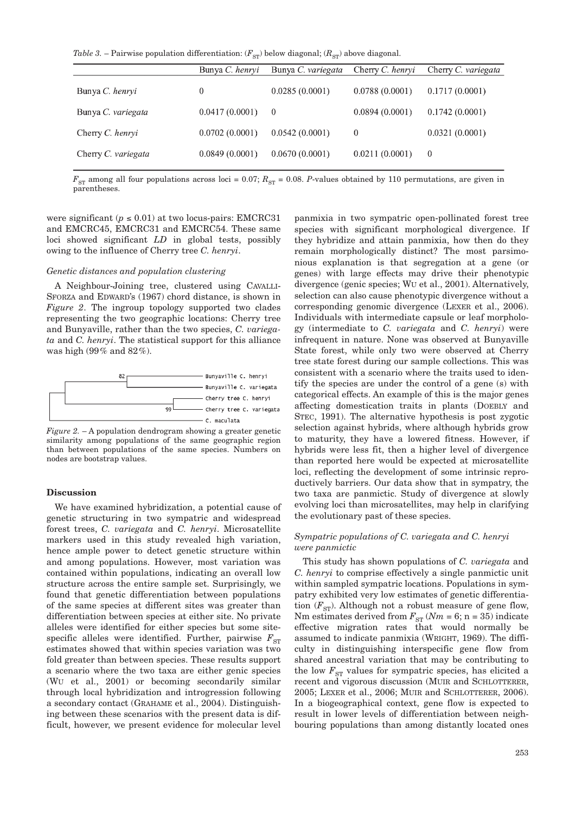*Table 3.* – Pairwise population differentiation:  $(F_{ST})$  below diagonal;  $(R_{ST})$  above diagonal.

|                     | Bunya C. henryi | Bunya C. variegata | Cherry C. henryi | Cherry C. variegata |
|---------------------|-----------------|--------------------|------------------|---------------------|
| Bunya C. henryi     | $\theta$        | 0.0285(0.0001)     | 0.0788(0.0001)   | 0.1717(0.0001)      |
| Bunya C. variegata  | 0.0417(0.0001)  | $\theta$           | 0.0894(0.0001)   | 0.1742(0.0001)      |
| Cherry C. henryi    | 0.0702(0.0001)  | 0.0542(0.0001)     | $\theta$         | 0.0321(0.0001)      |
| Cherry C. variegata | 0.0849(0.0001)  | 0.0670(0.0001)     | 0.0211(0.0001)   | $\theta$            |

 $F_{ST}$  among all four populations across loci = 0.07;  $R_{ST}$  = 0.08. *P*-values obtained by 110 permutations, are given in parentheses.

were significant ( $p \le 0.01$ ) at two locus-pairs: EMCRC31 and EMCRC45, EMCRC31 and EMCRC54. These same loci showed significant *LD* in global tests, possibly owing to the influence of Cherry tree *C. henryi*.

#### *Genetic distances and population clustering*

A Neighbour-Joining tree, clustered using CAVALLI-SFORZA and EDWARD's (1967) chord distance, is shown in *Figure 2*. The ingroup topology supported two clades representing the two geographic locations: Cherry tree and Bunyaville, rather than the two species, *C. variegata* and *C. henryi*. The statistical support for this alliance was high (99% and 82%).



*Figure 2.* – A population dendrogram showing a greater genetic similarity among populations of the same geographic region than between populations of the same species. Numbers on nodes are bootstrap values.

#### **Discussion**

We have examined hybridization, a potential cause of genetic structuring in two sympatric and widespread forest trees, *C. variegata* and *C. henryi*. Microsatellite markers used in this study revealed high variation, hence ample power to detect genetic structure within and among populations. However, most variation was contained within populations, indicating an overall low structure across the entire sample set. Surprisingly, we found that genetic differentiation between populations of the same species at different sites was greater than differentiation between species at either site. No private alleles were identified for either species but some sitespecific alleles were identified. Further, pairwise  $F_{ST}$ estimates showed that within species variation was two fold greater than between species. These results support a scenario where the two taxa are either genic species (WU et al., 2001) or becoming secondarily similar through local hybridization and introgression following a secondary contact (GRAHAME et al., 2004). Distinguishing between these scenarios with the present data is difficult, however, we present evidence for molecular level

panmixia in two sympatric open-pollinated forest tree species with significant morphological divergence. If they hybridize and attain panmixia, how then do they remain morphologically distinct? The most parsimonious explanation is that segregation at a gene (or genes) with large effects may drive their phenotypic divergence (genic species; WU et al., 2001). Alternatively, selection can also cause phenotypic divergence without a corresponding genomic divergence (LEXER et al., 2006). Individuals with intermediate capsule or leaf morphology (intermediate to *C. variegata* and *C. henryi*) were infrequent in nature. None was observed at Bunyaville State forest, while only two were observed at Cherry tree state forest during our sample collections. This was consistent with a scenario where the traits used to identify the species are under the control of a gene (s) with categorical effects. An example of this is the major genes affecting domestication traits in plants (DOEBLY and STEC, 1991). The alternative hypothesis is post zygotic selection against hybrids, where although hybrids grow to maturity, they have a lowered fitness. However, if hybrids were less fit, then a higher level of divergence than reported here would be expected at microsatellite loci, reflecting the development of some intrinsic reproductively barriers. Our data show that in sympatry, the two taxa are panmictic. Study of divergence at slowly evolving loci than microsatellites, may help in clarifying the evolutionary past of these species.

### *Sympatric populations of C. variegata and C. henryi were panmictic*

This study has shown populations of *C. variegata* and *C. henryi* to comprise effectively a single panmictic unit within sampled sympatric locations. Populations in sympatry exhibited very low estimates of genetic differentiation  $(F_{ST})$ . Although not a robust measure of gene flow, Nm estimates derived from  $F_{ST}$  ( $Nm = 6$ ; n = 35) indicate effective migration rates that would normally be assumed to indicate panmixia (WRIGHT, 1969). The difficulty in distinguishing interspecific gene flow from shared ancestral variation that may be contributing to the low  $F_{ST}$  values for sympatric species, has elicited a recent and vigorous discussion (MUIR and SCHLOTTERER, 2005; LEXER et al., 2006; MUIR and SCHLOTTERER, 2006). In a biogeographical context, gene flow is expected to result in lower levels of differentiation between neighbouring populations than among distantly located ones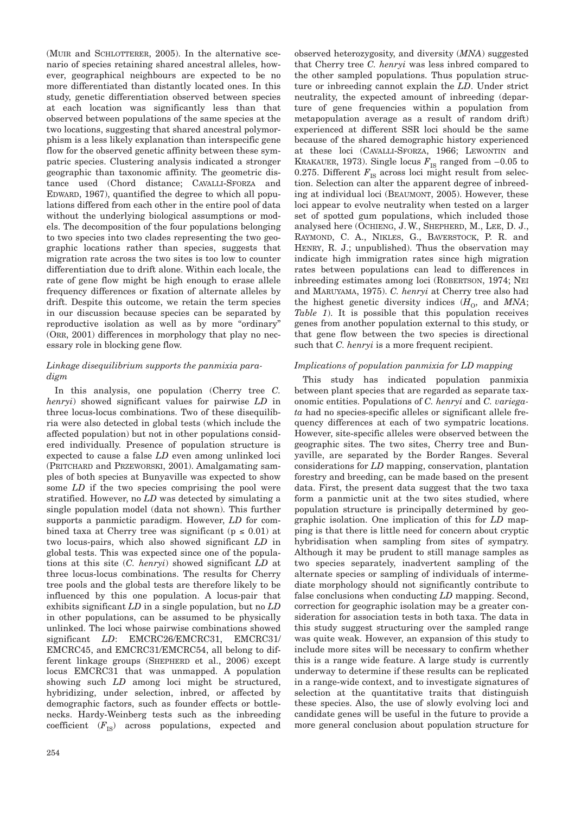(MUIR and SCHLOTTERER, 2005). In the alternative scenario of species retaining shared ancestral alleles, however, geographical neighbours are expected to be no more differentiated than distantly located ones. In this study, genetic differentiation observed between species at each location was significantly less than that observed between populations of the same species at the two locations, suggesting that shared ancestral polymorphism is a less likely explanation than interspecific gene flow for the observed genetic affinity between these sympatric species. Clustering analysis indicated a stronger geographic than taxonomic affinity. The geometric distance used (Chord distance; CAVALLI-SFORZA and EDWARD, 1967), quantified the degree to which all populations differed from each other in the entire pool of data without the underlying biological assumptions or models. The decomposition of the four populations belonging to two species into two clades representing the two geographic locations rather than species, suggests that migration rate across the two sites is too low to counter differentiation due to drift alone. Within each locale, the rate of gene flow might be high enough to erase allele frequency differences or fixation of alternate alleles by drift. Despite this outcome, we retain the term species in our discussion because species can be separated by reproductive isolation as well as by more "ordinary" (ORR, 2001) differences in morphology that play no necessary role in blocking gene flow.

# *Linkage disequilibrium supports the panmixia paradigm*

In this analysis, one population (Cherry tree *C. henryi*) showed significant values for pairwise *LD* in three locus-locus combinations. Two of these disequilibria were also detected in global tests (which include the affected population) but not in other populations considered individually. Presence of population structure is expected to cause a false *LD* even among unlinked loci (PRITCHARD and PRZEWORSKI, 2001). Amalgamating samples of both species at Bunyaville was expected to show some *LD* if the two species comprising the pool were stratified. However, no *LD* was detected by simulating a single population model (data not shown). This further supports a panmictic paradigm. However, *LD* for combined taxa at Cherry tree was significant ( $p \leq 0.01$ ) at two locus-pairs, which also showed significant *LD* in global tests. This was expected since one of the populations at this site (*C. henryi*) showed significant *LD* at three locus-locus combinations. The results for Cherry tree pools and the global tests are therefore likely to be influenced by this one population. A locus-pair that exhibits significant *LD* in a single population, but no *LD* in other populations, can be assumed to be physically unlinked. The loci whose pairwise combinations showed significant *LD*: EMCRC26/EMCRC31, EMCRC31/ EMCRC45, and EMCRC31/EMCRC54, all belong to different linkage groups (SHEPHERD et al., 2006) except locus EMCRC31 that was unmapped. A population showing such *LD* among loci might be structured, hybridizing, under selection, inbred, or affected by demographic factors, such as founder effects or bottlenecks. Hardy-Weinberg tests such as the inbreeding coefficient  $(F_{IS})$  across populations, expected and observed heterozygosity, and diversity (*MNA*) suggested that Cherry tree *C. henryi* was less inbred compared to the other sampled populations. Thus population structure or inbreeding cannot explain the *LD*. Under strict neutrality, the expected amount of inbreeding (departure of gene frequencies within a population from metapopulation average as a result of random drift) experienced at different SSR loci should be the same because of the shared demographic history experienced at these loci (CAVALLI-SFORZA, 1966; LEWONTIN and KRAKAUER, 1973). Single locus  $F_{IS}$  ranged from  $-0.05$  to 0.275. Different  $F_{\text{IS}}$  across loci might result from selection. Selection can alter the apparent degree of inbreeding at individual loci (BEAUMONT, 2005). However, these loci appear to evolve neutrality when tested on a larger set of spotted gum populations, which included those analysed here (OCHIENG, J. W., SHEPHERD, M., LEE, D. J., RAYMOND, C. A., NIKLES, G., BAVERSTOCK, P. R. and HENRY, R. J.; unpublished). Thus the observation may indicate high immigration rates since high migration rates between populations can lead to differences in inbreeding estimates among loci (ROBERTSON, 1974; NEI and MARUYAMA, 1975). *C. henryi* at Cherry tree also had the highest genetic diversity indices  $(H_0)$ , and  $MNA$ ; *Table 1*). It is possible that this population receives genes from another population external to this study, or that gene flow between the two species is directional such that *C. henryi* is a more frequent recipient.

# *Implications of population panmixia for LD mapping*

This study has indicated population panmixia between plant species that are regarded as separate taxonomic entities. Populations of *C. henryi* and *C. variegata* had no species-specific alleles or significant allele frequency differences at each of two sympatric locations. However, site-specific alleles were observed between the geographic sites. The two sites, Cherry tree and Bunyaville, are separated by the Border Ranges. Several considerations for *LD* mapping, conservation, plantation forestry and breeding, can be made based on the present data. First, the present data suggest that the two taxa form a panmictic unit at the two sites studied, where population structure is principally determined by geographic isolation. One implication of this for *LD* mapping is that there is little need for concern about cryptic hybridisation when sampling from sites of sympatry. Although it may be prudent to still manage samples as two species separately, inadvertent sampling of the alternate species or sampling of individuals of intermediate morphology should not significantly contribute to false conclusions when conducting *LD* mapping. Second, correction for geographic isolation may be a greater consideration for association tests in both taxa. The data in this study suggest structuring over the sampled range was quite weak. However, an expansion of this study to include more sites will be necessary to confirm whether this is a range wide feature. A large study is currently underway to determine if these results can be replicated in a range-wide context, and to investigate signatures of selection at the quantitative traits that distinguish these species. Also, the use of slowly evolving loci and candidate genes will be useful in the future to provide a more general conclusion about population structure for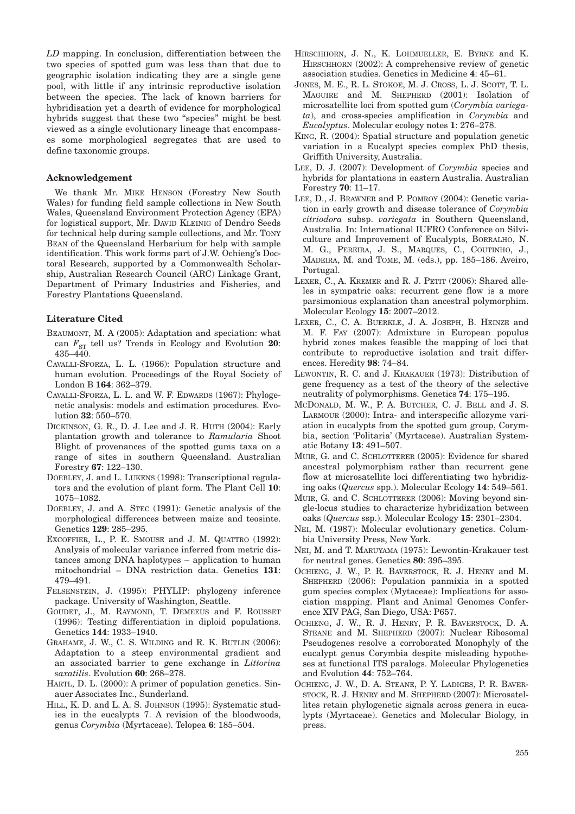*LD* mapping. In conclusion, differentiation between the two species of spotted gum was less than that due to geographic isolation indicating they are a single gene pool, with little if any intrinsic reproductive isolation between the species. The lack of known barriers for hybridisation yet a dearth of evidence for morphological hybrids suggest that these two "species" might be best viewed as a single evolutionary lineage that encompasses some morphological segregates that are used to define taxonomic groups.

#### **Acknowledgement**

We thank Mr. MIKE HENSON (Forestry New South Wales) for funding field sample collections in New South Wales, Queensland Environment Protection Agency (EPA) for logistical support, Mr. DAVID KLEINIG of Dendro Seeds for technical help during sample collections, and Mr. TONY BEAN of the Queensland Herbarium for help with sample identification. This work forms part of J.W. Ochieng's Doctoral Research, supported by a Commonwealth Scholarship, Australian Research Council (ARC) Linkage Grant, Department of Primary Industries and Fisheries, and Forestry Plantations Queensland.

#### **Literature Cited**

- BEAUMONT, M. A (2005): Adaptation and speciation: what can  $F_{ST}$  tell us? Trends in Ecology and Evolution 20: 435–440.
- CAVALLI-SFORZA, L. L. (1966): Population structure and human evolution. Proceedings of the Royal Society of London B **164**: 362–379.
- CAVALLI-SFORZA, L. L. and W. F. EDWARDS (1967): Phylogenetic analysis: models and estimation procedures. Evolution **32**: 550–570.
- DICKINSON, G. R., D. J. Lee and J. R. HUTH (2004): Early plantation growth and tolerance to *Ramularia* Shoot Blight of provenances of the spotted gums taxa on a range of sites in southern Queensland. Australian Forestry **67**: 122–130.
- DOEBLEY, J. and L. LUKENS (1998): Transcriptional regulators and the evolution of plant form. The Plant Cell **10**: 1075–1082.
- DOEBLEY, J. and A. STEC (1991): Genetic analysis of the morphological differences between maize and teosinte. Genetics **129**: 285–295.
- EXCOFFIER, L., P. E. SMOUSE and J. M. QUATTRO (1992): Analysis of molecular variance inferred from metric distances among DNA haplotypes – application to human mitochondrial – DNA restriction data. Genetics **131**: 479–491.
- FELSENSTEIN, J. (1995): PHYLIP: phylogeny inference package. University of Washington, Seattle.
- GOUDET, J., M. RAYMOND, T. DEMEEUS and F. ROUSSET (1996): Testing differentiation in diploid populations. Genetics **144**: 1933–1940.
- GRAHAME, J. W., C. S. WILDING and R. K. BUTLIN (2006): Adaptation to a steep environmental gradient and an associated barrier to gene exchange in *Littorina saxatilis*. Evolution **60**: 268–278.
- HARTL, D. L. (2000): A primer of population genetics. Sinauer Associates Inc., Sunderland.
- HILL, K. D. and L. A. S. JOHNSON (1995): Systematic studies in the eucalypts 7. A revision of the bloodwoods, genus *Corymbia* (Myrtaceae). Telopea **6**: 185–504.
- HIRSCHHORN, J. N., K. LOHMUELLER, E. BYRNE and K. HIRSCHHORN (2002): A comprehensive review of genetic association studies. Genetics in Medicine **4**: 45–61.
- JONES, M. E., R. L. STOKOE, M. J. CROSS, L. J. SCOTT, T. L. MAGUIRE and M. SHEPHERD (2001): Isolation of microsatellite loci from spotted gum (*Corymbia variegata*), and cross-species amplification in *Corymbia* and *Eucalyptus*. Molecular ecology notes **1**: 276–278.
- KING, R. (2004): Spatial structure and population genetic variation in a Eucalypt species complex PhD thesis, Griffith University, Australia.
- LEE, D. J. (2007): Development of *Corymbia* species and hybrids for plantations in eastern Australia. Australian Forestry **70**: 11–17.
- LEE, D., J. BRAWNER and P. POMROY (2004): Genetic variation in early growth and disease tolerance of *Corymbia citriodora* subsp. *variegata* in Southern Queensland, Australia. In: International IUFRO Conference on Silviculture and Improvement of Eucalypts, BORRALHO, N. M. G., PEREIRA, J. S., MARQUES, C., COUTINHO, J., MADEIRA, M. and TOME, M. (eds.), pp. 185–186. Aveiro, Portugal.
- LEXER, C., A. KREMER and R. J. PETIT (2006): Shared alleles in sympatric oaks: recurrent gene flow is a more parsimonious explanation than ancestral polymorphim. Molecular Ecology **15**: 2007–2012.
- LEXER, C., C. A. BUERKLE, J. A. JOSEPH, B. HEINZE and M. F. FAY (2007): Admixture in European populus hybrid zones makes feasible the mapping of loci that contribute to reproductive isolation and trait differences. Heredity **98**: 74–84.
- LEWONTIN, R. C. and J. KRAKAUER (1973): Distribution of gene frequency as a test of the theory of the selective neutrality of polymorphisms. Genetics **74**: 175–195.
- MCDONALD, M. W., P. A. BUTCHER, C. J. BELL and J. S. LARMOUR (2000): Intra- and interspecific allozyme variation in eucalypts from the spotted gum group, Corymbia, section 'Politaria' (Myrtaceae). Australian Systematic Botany **13**: 491–507.
- MUIR, G. and C. SCHLOTTERER (2005): Evidence for shared ancestral polymorphism rather than recurrent gene flow at microsatellite loci differentiating two hybridizing oaks (*Quercus* spp.). Molecular Ecology **14**: 549–561.
- MUIR, G. and C. SCHLOTTERER (2006): Moving beyond single-locus studies to characterize hybridization between oaks (*Quercus* ssp.). Molecular Ecology **15**: 2301–2304.
- NEI, M. (1987): Molecular evolutionary genetics. Columbia University Press, New York.
- NEI, M. and T. MARUYAMA (1975): Lewontin-Krakauer test for neutral genes. Genetics **80**: 395–395.
- OCHIENG, J. W., P. R. BAVERSTOCK, R. J. HENRY and M. SHEPHERD (2006): Population panmixia in a spotted gum species complex (Mytaceae): Implications for association mapping. Plant and Animal Genomes Conference XIV PAG, San Diego, USA: P657.
- OCHIENG, J. W., R. J. HENRY, P. R. BAVERSTOCK, D. A. STEANE and M. SHEPHERD (2007): Nuclear Ribosomal Pseudogenes resolve a corroborated Monophyly of the eucalypt genus Corymbia despite misleading hypotheses at functional ITS paralogs. Molecular Phylogenetics and Evolution **44**: 752–764.
- OCHIENG, J. W., D. A. STEANE, P. Y. LADIGES, P. R. BAVER-STOCK, R. J. HENRY and M. SHEPHERD (2007): Microsatellites retain phylogenetic signals across genera in eucalypts (Myrtaceae). Genetics and Molecular Biology, in press.